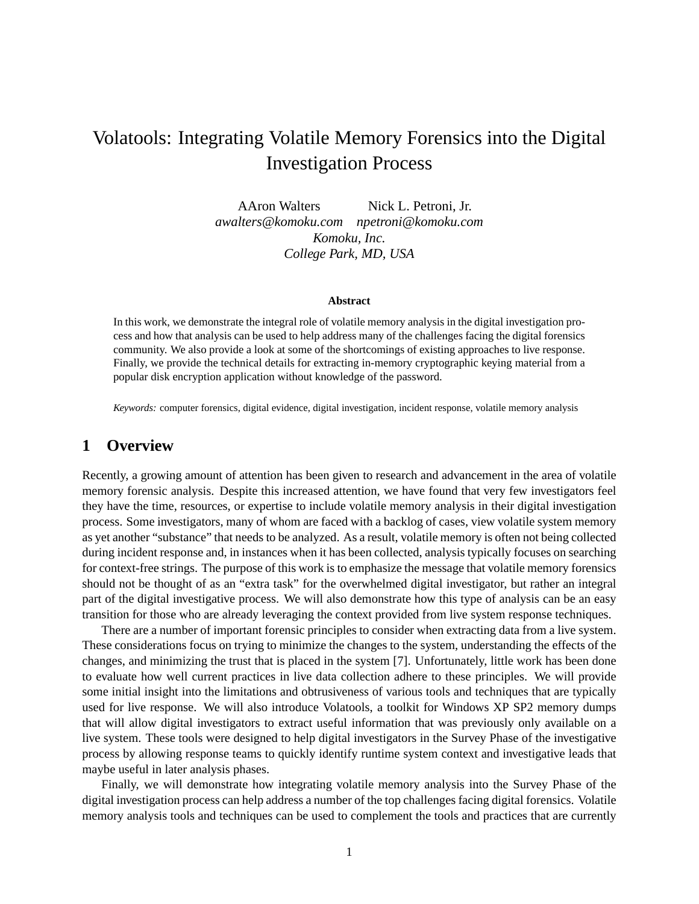# Volatools: Integrating Volatile Memory Forensics into the Digital Investigation Process

AAron Walters Nick L. Petroni, Jr. *awalters@komoku.com npetroni@komoku.com Komoku, Inc. College Park, MD, USA*

#### **Abstract**

In this work, we demonstrate the integral role of volatile memory analysis in the digital investigation process and how that analysis can be used to help address many of the challenges facing the digital forensics community. We also provide a look at some of the shortcomings of existing approaches to live response. Finally, we provide the technical details for extracting in-memory cryptographic keying material from a popular disk encryption application without knowledge of the password.

*Keywords:* computer forensics, digital evidence, digital investigation, incident response, volatile memory analysis

### **1 Overview**

Recently, a growing amount of attention has been given to research and advancement in the area of volatile memory forensic analysis. Despite this increased attention, we have found that very few investigators feel they have the time, resources, or expertise to include volatile memory analysis in their digital investigation process. Some investigators, many of whom are faced with a backlog of cases, view volatile system memory as yet another "substance" that needs to be analyzed. As a result, volatile memory is often not being collected during incident response and, in instances when it has been collected, analysis typically focuses on searching for context-free strings. The purpose of this work is to emphasize the message that volatile memory forensics should not be thought of as an "extra task" for the overwhelmed digital investigator, but rather an integral part of the digital investigative process. We will also demonstrate how this type of analysis can be an easy transition for those who are already leveraging the context provided from live system response techniques.

There are a number of important forensic principles to consider when extracting data from a live system. These considerations focus on trying to minimize the changes to the system, understanding the effects of the changes, and minimizing the trust that is placed in the system [7]. Unfortunately, little work has been done to evaluate how well current practices in live data collection adhere to these principles. We will provide some initial insight into the limitations and obtrusiveness of various tools and techniques that are typically used for live response. We will also introduce Volatools, a toolkit for Windows XP SP2 memory dumps that will allow digital investigators to extract useful information that was previously only available on a live system. These tools were designed to help digital investigators in the Survey Phase of the investigative process by allowing response teams to quickly identify runtime system context and investigative leads that maybe useful in later analysis phases.

Finally, we will demonstrate how integrating volatile memory analysis into the Survey Phase of the digital investigation process can help address a number of the top challenges facing digital forensics. Volatile memory analysis tools and techniques can be used to complement the tools and practices that are currently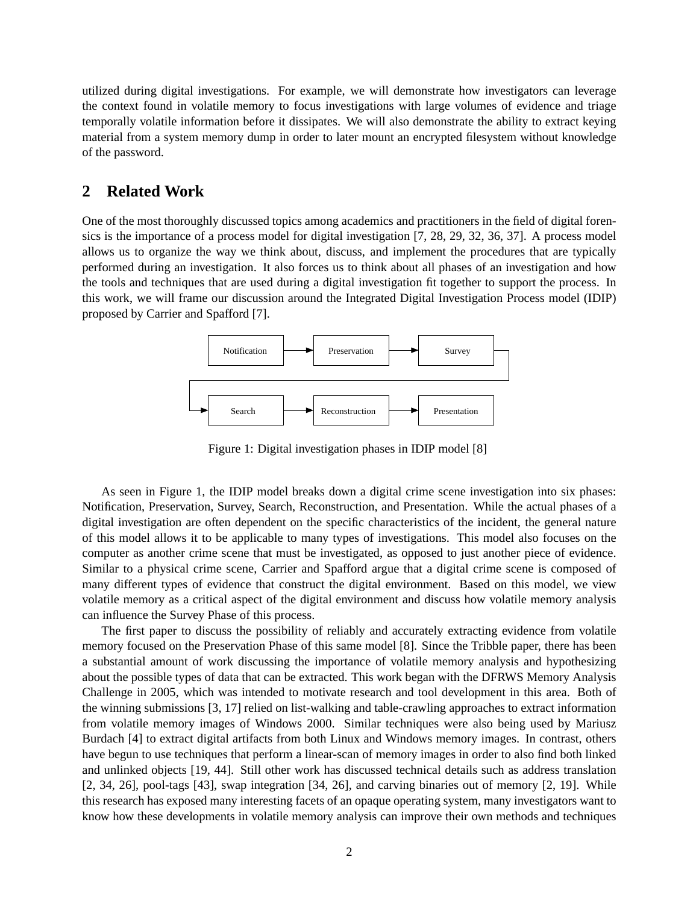utilized during digital investigations. For example, we will demonstrate how investigators can leverage the context found in volatile memory to focus investigations with large volumes of evidence and triage temporally volatile information before it dissipates. We will also demonstrate the ability to extract keying material from a system memory dump in order to later mount an encrypted filesystem without knowledge of the password.

#### **2 Related Work**

One of the most thoroughly discussed topics among academics and practitioners in the field of digital forensics is the importance of a process model for digital investigation [7, 28, 29, 32, 36, 37]. A process model allows us to organize the way we think about, discuss, and implement the procedures that are typically performed during an investigation. It also forces us to think about all phases of an investigation and how the tools and techniques that are used during a digital investigation fit together to support the process. In this work, we will frame our discussion around the Integrated Digital Investigation Process model (IDIP) proposed by Carrier and Spafford [7].



Figure 1: Digital investigation phases in IDIP model [8]

As seen in Figure 1, the IDIP model breaks down a digital crime scene investigation into six phases: Notification, Preservation, Survey, Search, Reconstruction, and Presentation. While the actual phases of a digital investigation are often dependent on the specific characteristics of the incident, the general nature of this model allows it to be applicable to many types of investigations. This model also focuses on the computer as another crime scene that must be investigated, as opposed to just another piece of evidence. Similar to a physical crime scene, Carrier and Spafford argue that a digital crime scene is composed of many different types of evidence that construct the digital environment. Based on this model, we view volatile memory as a critical aspect of the digital environment and discuss how volatile memory analysis can influence the Survey Phase of this process.

The first paper to discuss the possibility of reliably and accurately extracting evidence from volatile memory focused on the Preservation Phase of this same model [8]. Since the Tribble paper, there has been a substantial amount of work discussing the importance of volatile memory analysis and hypothesizing about the possible types of data that can be extracted. This work began with the DFRWS Memory Analysis Challenge in 2005, which was intended to motivate research and tool development in this area. Both of the winning submissions [3, 17] relied on list-walking and table-crawling approaches to extract information from volatile memory images of Windows 2000. Similar techniques were also being used by Mariusz Burdach [4] to extract digital artifacts from both Linux and Windows memory images. In contrast, others have begun to use techniques that perform a linear-scan of memory images in order to also find both linked and unlinked objects [19, 44]. Still other work has discussed technical details such as address translation [2, 34, 26], pool-tags [43], swap integration [34, 26], and carving binaries out of memory [2, 19]. While this research has exposed many interesting facets of an opaque operating system, many investigators want to know how these developments in volatile memory analysis can improve their own methods and techniques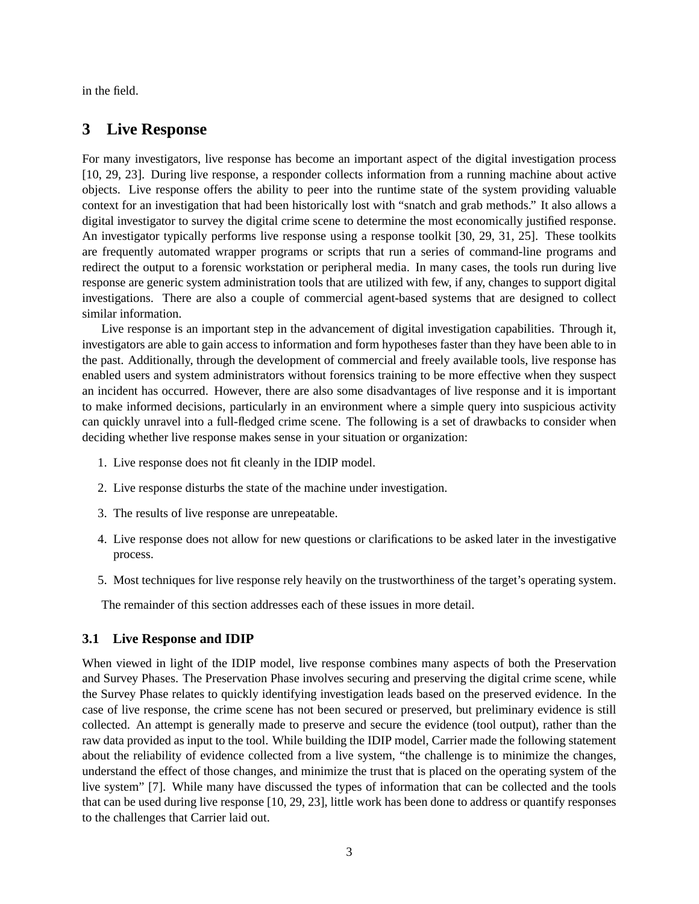in the field.

#### **3 Live Response**

For many investigators, live response has become an important aspect of the digital investigation process [10, 29, 23]. During live response, a responder collects information from a running machine about active objects. Live response offers the ability to peer into the runtime state of the system providing valuable context for an investigation that had been historically lost with "snatch and grab methods." It also allows a digital investigator to survey the digital crime scene to determine the most economically justified response. An investigator typically performs live response using a response toolkit [30, 29, 31, 25]. These toolkits are frequently automated wrapper programs or scripts that run a series of command-line programs and redirect the output to a forensic workstation or peripheral media. In many cases, the tools run during live response are generic system administration tools that are utilized with few, if any, changes to support digital investigations. There are also a couple of commercial agent-based systems that are designed to collect similar information.

Live response is an important step in the advancement of digital investigation capabilities. Through it, investigators are able to gain access to information and form hypotheses faster than they have been able to in the past. Additionally, through the development of commercial and freely available tools, live response has enabled users and system administrators without forensics training to be more effective when they suspect an incident has occurred. However, there are also some disadvantages of live response and it is important to make informed decisions, particularly in an environment where a simple query into suspicious activity can quickly unravel into a full-fledged crime scene. The following is a set of drawbacks to consider when deciding whether live response makes sense in your situation or organization:

- 1. Live response does not fit cleanly in the IDIP model.
- 2. Live response disturbs the state of the machine under investigation.
- 3. The results of live response are unrepeatable.
- 4. Live response does not allow for new questions or clarifications to be asked later in the investigative process.
- 5. Most techniques for live response rely heavily on the trustworthiness of the target's operating system.

The remainder of this section addresses each of these issues in more detail.

#### **3.1 Live Response and IDIP**

When viewed in light of the IDIP model, live response combines many aspects of both the Preservation and Survey Phases. The Preservation Phase involves securing and preserving the digital crime scene, while the Survey Phase relates to quickly identifying investigation leads based on the preserved evidence. In the case of live response, the crime scene has not been secured or preserved, but preliminary evidence is still collected. An attempt is generally made to preserve and secure the evidence (tool output), rather than the raw data provided as input to the tool. While building the IDIP model, Carrier made the following statement about the reliability of evidence collected from a live system, "the challenge is to minimize the changes, understand the effect of those changes, and minimize the trust that is placed on the operating system of the live system" [7]. While many have discussed the types of information that can be collected and the tools that can be used during live response [10, 29, 23], little work has been done to address or quantify responses to the challenges that Carrier laid out.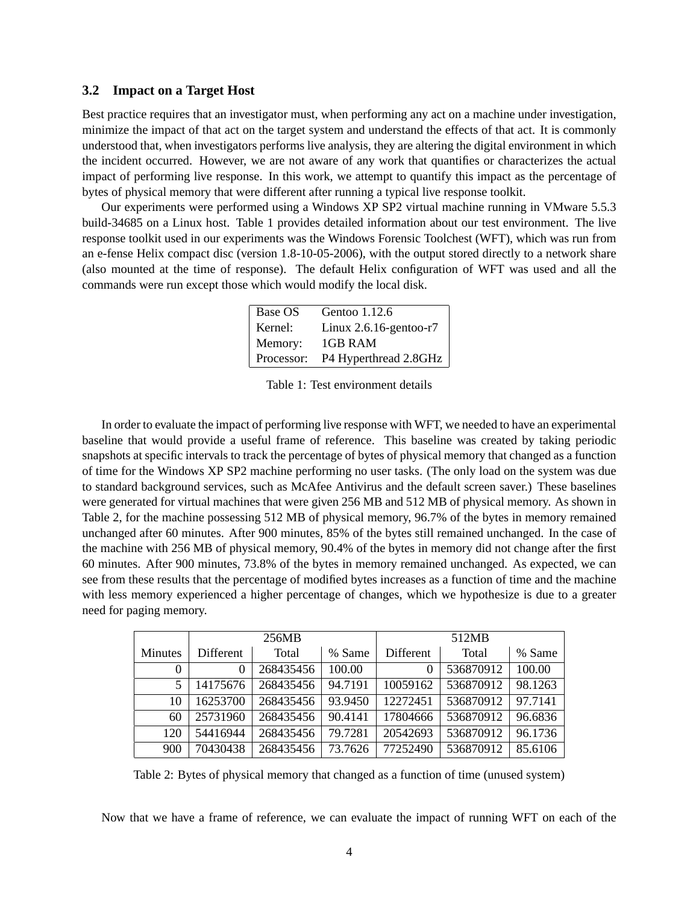#### **3.2 Impact on a Target Host**

Best practice requires that an investigator must, when performing any act on a machine under investigation, minimize the impact of that act on the target system and understand the effects of that act. It is commonly understood that, when investigators performs live analysis, they are altering the digital environment in which the incident occurred. However, we are not aware of any work that quantifies or characterizes the actual impact of performing live response. In this work, we attempt to quantify this impact as the percentage of bytes of physical memory that were different after running a typical live response toolkit.

Our experiments were performed using a Windows XP SP2 virtual machine running in VMware 5.5.3 build-34685 on a Linux host. Table 1 provides detailed information about our test environment. The live response toolkit used in our experiments was the Windows Forensic Toolchest (WFT), which was run from an e-fense Helix compact disc (version 1.8-10-05-2006), with the output stored directly to a network share (also mounted at the time of response). The default Helix configuration of WFT was used and all the commands were run except those which would modify the local disk.

| Base OS    | Gentoo 1.12.6             |
|------------|---------------------------|
| Kernel:    | Linux $2.6.16$ -gentoo-r7 |
| Memory:    | 1GB RAM                   |
| Processor: | P4 Hyperthread 2.8GHz     |

Table 1: Test environment details

In order to evaluate the impact of performing live response with WFT, we needed to have an experimental baseline that would provide a useful frame of reference. This baseline was created by taking periodic snapshots at specific intervals to track the percentage of bytes of physical memory that changed as a function of time for the Windows XP SP2 machine performing no user tasks. (The only load on the system was due to standard background services, such as McAfee Antivirus and the default screen saver.) These baselines were generated for virtual machines that were given 256 MB and 512 MB of physical memory. As shown in Table 2, for the machine possessing 512 MB of physical memory, 96.7% of the bytes in memory remained unchanged after 60 minutes. After 900 minutes, 85% of the bytes still remained unchanged. In the case of the machine with 256 MB of physical memory, 90.4% of the bytes in memory did not change after the first 60 minutes. After 900 minutes, 73.8% of the bytes in memory remained unchanged. As expected, we can see from these results that the percentage of modified bytes increases as a function of time and the machine with less memory experienced a higher percentage of changes, which we hypothesize is due to a greater need for paging memory.

|                | 256MB     |           |         | 512MB     |           |         |
|----------------|-----------|-----------|---------|-----------|-----------|---------|
| <b>Minutes</b> | Different | Total     | % Same  | Different | Total     | % Same  |
| 0              | $\Omega$  | 268435456 | 100.00  | 0         | 536870912 | 100.00  |
| 5              | 14175676  | 268435456 | 94.7191 | 10059162  | 536870912 | 98.1263 |
| 10             | 16253700  | 268435456 | 93.9450 | 12272451  | 536870912 | 97.7141 |
| 60             | 25731960  | 268435456 | 90.4141 | 17804666  | 536870912 | 96.6836 |
| 120            | 54416944  | 268435456 | 79.7281 | 20542693  | 536870912 | 96.1736 |
| 900            | 70430438  | 268435456 | 73.7626 | 77252490  | 536870912 | 85.6106 |

Table 2: Bytes of physical memory that changed as a function of time (unused system)

Now that we have a frame of reference, we can evaluate the impact of running WFT on each of the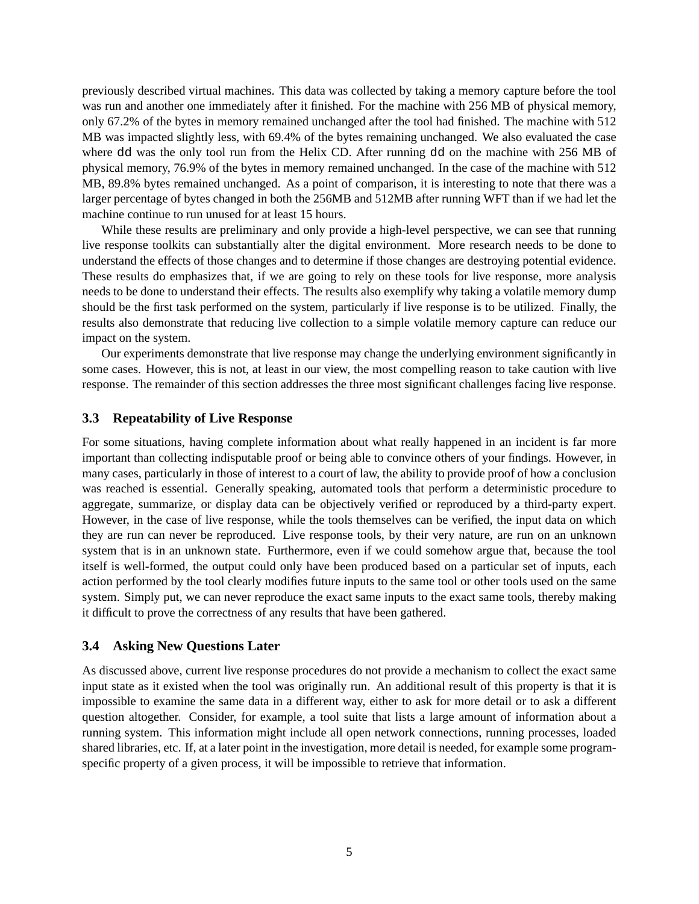previously described virtual machines. This data was collected by taking a memory capture before the tool was run and another one immediately after it finished. For the machine with 256 MB of physical memory, only 67.2% of the bytes in memory remained unchanged after the tool had finished. The machine with 512 MB was impacted slightly less, with 69.4% of the bytes remaining unchanged. We also evaluated the case where dd was the only tool run from the Helix CD. After running dd on the machine with 256 MB of physical memory, 76.9% of the bytes in memory remained unchanged. In the case of the machine with 512 MB, 89.8% bytes remained unchanged. As a point of comparison, it is interesting to note that there was a larger percentage of bytes changed in both the 256MB and 512MB after running WFT than if we had let the machine continue to run unused for at least 15 hours.

While these results are preliminary and only provide a high-level perspective, we can see that running live response toolkits can substantially alter the digital environment. More research needs to be done to understand the effects of those changes and to determine if those changes are destroying potential evidence. These results do emphasizes that, if we are going to rely on these tools for live response, more analysis needs to be done to understand their effects. The results also exemplify why taking a volatile memory dump should be the first task performed on the system, particularly if live response is to be utilized. Finally, the results also demonstrate that reducing live collection to a simple volatile memory capture can reduce our impact on the system.

Our experiments demonstrate that live response may change the underlying environment significantly in some cases. However, this is not, at least in our view, the most compelling reason to take caution with live response. The remainder of this section addresses the three most significant challenges facing live response.

#### **3.3 Repeatability of Live Response**

For some situations, having complete information about what really happened in an incident is far more important than collecting indisputable proof or being able to convince others of your findings. However, in many cases, particularly in those of interest to a court of law, the ability to provide proof of how a conclusion was reached is essential. Generally speaking, automated tools that perform a deterministic procedure to aggregate, summarize, or display data can be objectively verified or reproduced by a third-party expert. However, in the case of live response, while the tools themselves can be verified, the input data on which they are run can never be reproduced. Live response tools, by their very nature, are run on an unknown system that is in an unknown state. Furthermore, even if we could somehow argue that, because the tool itself is well-formed, the output could only have been produced based on a particular set of inputs, each action performed by the tool clearly modifies future inputs to the same tool or other tools used on the same system. Simply put, we can never reproduce the exact same inputs to the exact same tools, thereby making it difficult to prove the correctness of any results that have been gathered.

#### **3.4 Asking New Questions Later**

As discussed above, current live response procedures do not provide a mechanism to collect the exact same input state as it existed when the tool was originally run. An additional result of this property is that it is impossible to examine the same data in a different way, either to ask for more detail or to ask a different question altogether. Consider, for example, a tool suite that lists a large amount of information about a running system. This information might include all open network connections, running processes, loaded shared libraries, etc. If, at a later point in the investigation, more detail is needed, for example some programspecific property of a given process, it will be impossible to retrieve that information.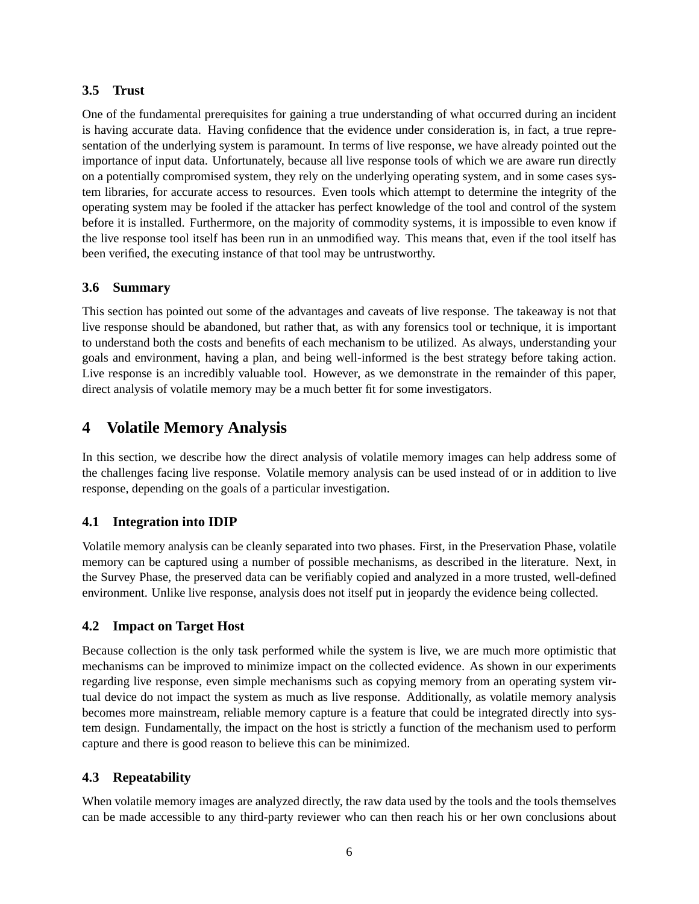#### **3.5 Trust**

One of the fundamental prerequisites for gaining a true understanding of what occurred during an incident is having accurate data. Having confidence that the evidence under consideration is, in fact, a true representation of the underlying system is paramount. In terms of live response, we have already pointed out the importance of input data. Unfortunately, because all live response tools of which we are aware run directly on a potentially compromised system, they rely on the underlying operating system, and in some cases system libraries, for accurate access to resources. Even tools which attempt to determine the integrity of the operating system may be fooled if the attacker has perfect knowledge of the tool and control of the system before it is installed. Furthermore, on the majority of commodity systems, it is impossible to even know if the live response tool itself has been run in an unmodified way. This means that, even if the tool itself has been verified, the executing instance of that tool may be untrustworthy.

#### **3.6 Summary**

This section has pointed out some of the advantages and caveats of live response. The takeaway is not that live response should be abandoned, but rather that, as with any forensics tool or technique, it is important to understand both the costs and benefits of each mechanism to be utilized. As always, understanding your goals and environment, having a plan, and being well-informed is the best strategy before taking action. Live response is an incredibly valuable tool. However, as we demonstrate in the remainder of this paper, direct analysis of volatile memory may be a much better fit for some investigators.

# **4 Volatile Memory Analysis**

In this section, we describe how the direct analysis of volatile memory images can help address some of the challenges facing live response. Volatile memory analysis can be used instead of or in addition to live response, depending on the goals of a particular investigation.

### **4.1 Integration into IDIP**

Volatile memory analysis can be cleanly separated into two phases. First, in the Preservation Phase, volatile memory can be captured using a number of possible mechanisms, as described in the literature. Next, in the Survey Phase, the preserved data can be verifiably copied and analyzed in a more trusted, well-defined environment. Unlike live response, analysis does not itself put in jeopardy the evidence being collected.

#### **4.2 Impact on Target Host**

Because collection is the only task performed while the system is live, we are much more optimistic that mechanisms can be improved to minimize impact on the collected evidence. As shown in our experiments regarding live response, even simple mechanisms such as copying memory from an operating system virtual device do not impact the system as much as live response. Additionally, as volatile memory analysis becomes more mainstream, reliable memory capture is a feature that could be integrated directly into system design. Fundamentally, the impact on the host is strictly a function of the mechanism used to perform capture and there is good reason to believe this can be minimized.

### **4.3 Repeatability**

When volatile memory images are analyzed directly, the raw data used by the tools and the tools themselves can be made accessible to any third-party reviewer who can then reach his or her own conclusions about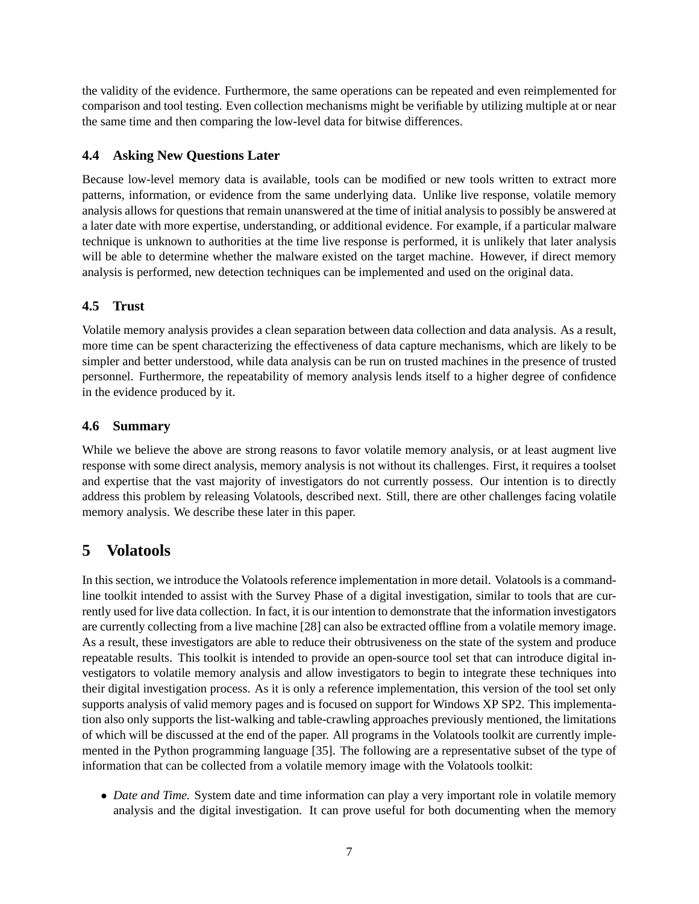the validity of the evidence. Furthermore, the same operations can be repeated and even reimplemented for comparison and tool testing. Even collection mechanisms might be verifiable by utilizing multiple at or near the same time and then comparing the low-level data for bitwise differences.

#### **4.4 Asking New Questions Later**

Because low-level memory data is available, tools can be modified or new tools written to extract more patterns, information, or evidence from the same underlying data. Unlike live response, volatile memory analysis allows for questions that remain unanswered at the time of initial analysis to possibly be answered at a later date with more expertise, understanding, or additional evidence. For example, if a particular malware technique is unknown to authorities at the time live response is performed, it is unlikely that later analysis will be able to determine whether the malware existed on the target machine. However, if direct memory analysis is performed, new detection techniques can be implemented and used on the original data.

#### **4.5 Trust**

Volatile memory analysis provides a clean separation between data collection and data analysis. As a result, more time can be spent characterizing the effectiveness of data capture mechanisms, which are likely to be simpler and better understood, while data analysis can be run on trusted machines in the presence of trusted personnel. Furthermore, the repeatability of memory analysis lends itself to a higher degree of confidence in the evidence produced by it.

#### **4.6 Summary**

While we believe the above are strong reasons to favor volatile memory analysis, or at least augment live response with some direct analysis, memory analysis is not without its challenges. First, it requires a toolset and expertise that the vast majority of investigators do not currently possess. Our intention is to directly address this problem by releasing Volatools, described next. Still, there are other challenges facing volatile memory analysis. We describe these later in this paper.

# **5 Volatools**

In this section, we introduce the Volatools reference implementation in more detail. Volatools is a commandline toolkit intended to assist with the Survey Phase of a digital investigation, similar to tools that are currently used for live data collection. In fact, it is our intention to demonstrate that the information investigators are currently collecting from a live machine [28] can also be extracted offline from a volatile memory image. As a result, these investigators are able to reduce their obtrusiveness on the state of the system and produce repeatable results. This toolkit is intended to provide an open-source tool set that can introduce digital investigators to volatile memory analysis and allow investigators to begin to integrate these techniques into their digital investigation process. As it is only a reference implementation, this version of the tool set only supports analysis of valid memory pages and is focused on support for Windows XP SP2. This implementation also only supports the list-walking and table-crawling approaches previously mentioned, the limitations of which will be discussed at the end of the paper. All programs in the Volatools toolkit are currently implemented in the Python programming language [35]. The following are a representative subset of the type of information that can be collected from a volatile memory image with the Volatools toolkit:

• *Date and Time.* System date and time information can play a very important role in volatile memory analysis and the digital investigation. It can prove useful for both documenting when the memory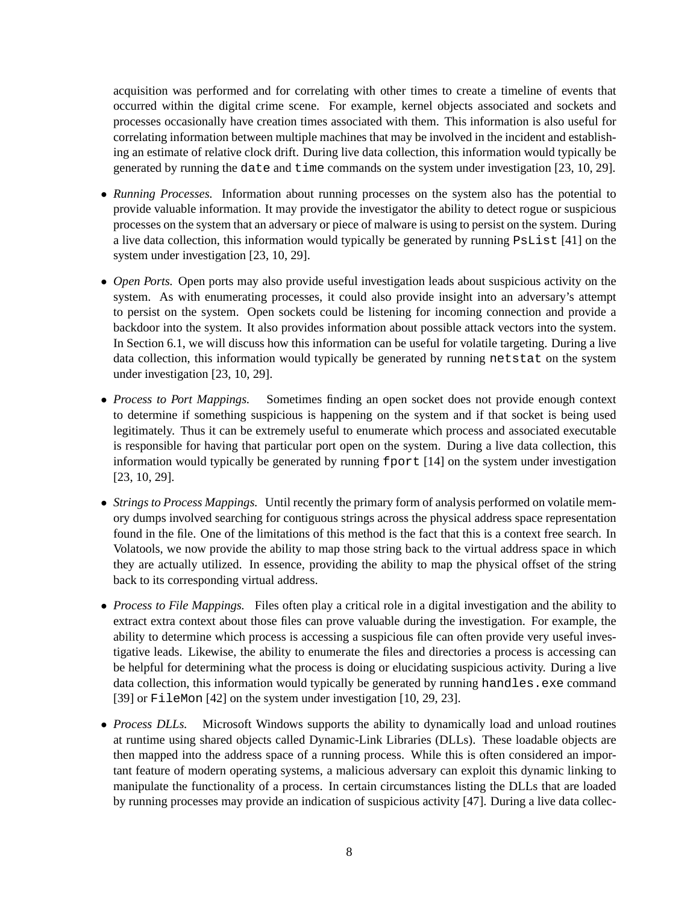acquisition was performed and for correlating with other times to create a timeline of events that occurred within the digital crime scene. For example, kernel objects associated and sockets and processes occasionally have creation times associated with them. This information is also useful for correlating information between multiple machines that may be involved in the incident and establishing an estimate of relative clock drift. During live data collection, this information would typically be generated by running the date and time commands on the system under investigation [23, 10, 29].

- *Running Processes.* Information about running processes on the system also has the potential to provide valuable information. It may provide the investigator the ability to detect rogue or suspicious processes on the system that an adversary or piece of malware is using to persist on the system. During a live data collection, this information would typically be generated by running PsList [41] on the system under investigation [23, 10, 29].
- *Open Ports.* Open ports may also provide useful investigation leads about suspicious activity on the system. As with enumerating processes, it could also provide insight into an adversary's attempt to persist on the system. Open sockets could be listening for incoming connection and provide a backdoor into the system. It also provides information about possible attack vectors into the system. In Section 6.1, we will discuss how this information can be useful for volatile targeting. During a live data collection, this information would typically be generated by running netstat on the system under investigation [23, 10, 29].
- *Process to Port Mappings.* Sometimes finding an open socket does not provide enough context to determine if something suspicious is happening on the system and if that socket is being used legitimately. Thus it can be extremely useful to enumerate which process and associated executable is responsible for having that particular port open on the system. During a live data collection, this information would typically be generated by running  $f$  for  $[14]$  on the system under investigation [23, 10, 29].
- *Strings to Process Mappings.* Until recently the primary form of analysis performed on volatile memory dumps involved searching for contiguous strings across the physical address space representation found in the file. One of the limitations of this method is the fact that this is a context free search. In Volatools, we now provide the ability to map those string back to the virtual address space in which they are actually utilized. In essence, providing the ability to map the physical offset of the string back to its corresponding virtual address.
- *Process to File Mappings.* Files often play a critical role in a digital investigation and the ability to extract extra context about those files can prove valuable during the investigation. For example, the ability to determine which process is accessing a suspicious file can often provide very useful investigative leads. Likewise, the ability to enumerate the files and directories a process is accessing can be helpful for determining what the process is doing or elucidating suspicious activity. During a live data collection, this information would typically be generated by running handles. exe command [39] or FileMon [42] on the system under investigation [10, 29, 23].
- *Process DLLs.* Microsoft Windows supports the ability to dynamically load and unload routines at runtime using shared objects called Dynamic-Link Libraries (DLLs). These loadable objects are then mapped into the address space of a running process. While this is often considered an important feature of modern operating systems, a malicious adversary can exploit this dynamic linking to manipulate the functionality of a process. In certain circumstances listing the DLLs that are loaded by running processes may provide an indication of suspicious activity [47]. During a live data collec-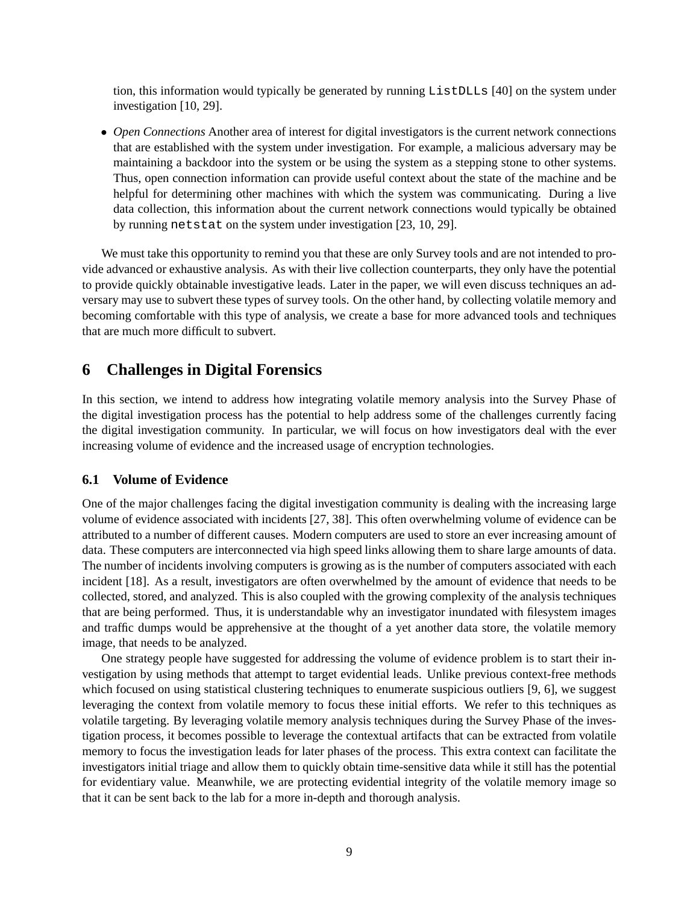tion, this information would typically be generated by running ListDLLs [40] on the system under investigation [10, 29].

• *Open Connections* Another area of interest for digital investigators is the current network connections that are established with the system under investigation. For example, a malicious adversary may be maintaining a backdoor into the system or be using the system as a stepping stone to other systems. Thus, open connection information can provide useful context about the state of the machine and be helpful for determining other machines with which the system was communicating. During a live data collection, this information about the current network connections would typically be obtained by running netstat on the system under investigation [23, 10, 29].

We must take this opportunity to remind you that these are only Survey tools and are not intended to provide advanced or exhaustive analysis. As with their live collection counterparts, they only have the potential to provide quickly obtainable investigative leads. Later in the paper, we will even discuss techniques an adversary may use to subvert these types of survey tools. On the other hand, by collecting volatile memory and becoming comfortable with this type of analysis, we create a base for more advanced tools and techniques that are much more difficult to subvert.

### **6 Challenges in Digital Forensics**

In this section, we intend to address how integrating volatile memory analysis into the Survey Phase of the digital investigation process has the potential to help address some of the challenges currently facing the digital investigation community. In particular, we will focus on how investigators deal with the ever increasing volume of evidence and the increased usage of encryption technologies.

#### **6.1 Volume of Evidence**

One of the major challenges facing the digital investigation community is dealing with the increasing large volume of evidence associated with incidents [27, 38]. This often overwhelming volume of evidence can be attributed to a number of different causes. Modern computers are used to store an ever increasing amount of data. These computers are interconnected via high speed links allowing them to share large amounts of data. The number of incidents involving computers is growing as is the number of computers associated with each incident [18]. As a result, investigators are often overwhelmed by the amount of evidence that needs to be collected, stored, and analyzed. This is also coupled with the growing complexity of the analysis techniques that are being performed. Thus, it is understandable why an investigator inundated with filesystem images and traffic dumps would be apprehensive at the thought of a yet another data store, the volatile memory image, that needs to be analyzed.

One strategy people have suggested for addressing the volume of evidence problem is to start their investigation by using methods that attempt to target evidential leads. Unlike previous context-free methods which focused on using statistical clustering techniques to enumerate suspicious outliers [9, 6], we suggest leveraging the context from volatile memory to focus these initial efforts. We refer to this techniques as volatile targeting. By leveraging volatile memory analysis techniques during the Survey Phase of the investigation process, it becomes possible to leverage the contextual artifacts that can be extracted from volatile memory to focus the investigation leads for later phases of the process. This extra context can facilitate the investigators initial triage and allow them to quickly obtain time-sensitive data while it still has the potential for evidentiary value. Meanwhile, we are protecting evidential integrity of the volatile memory image so that it can be sent back to the lab for a more in-depth and thorough analysis.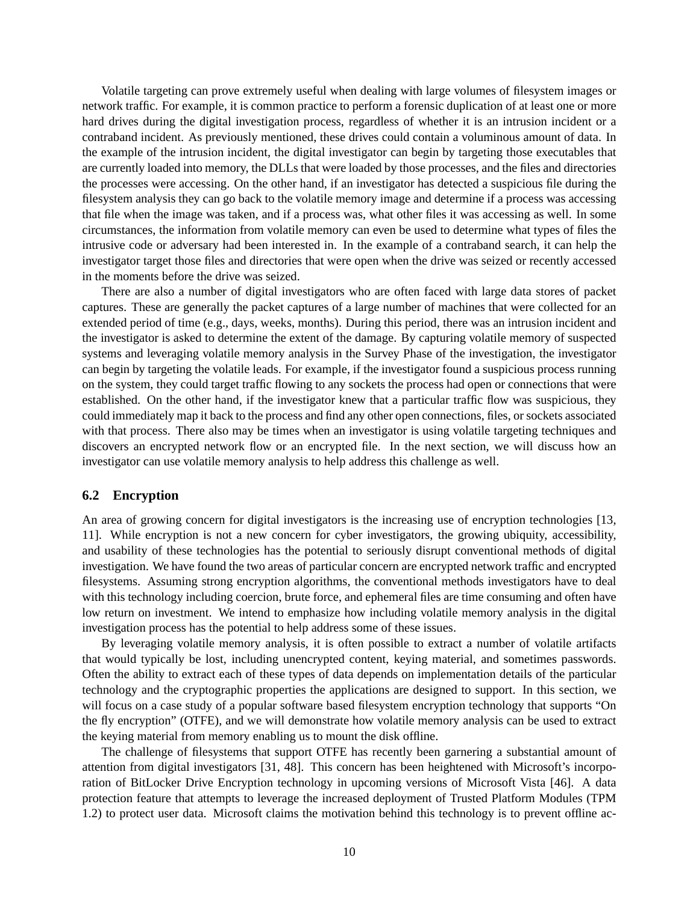Volatile targeting can prove extremely useful when dealing with large volumes of filesystem images or network traffic. For example, it is common practice to perform a forensic duplication of at least one or more hard drives during the digital investigation process, regardless of whether it is an intrusion incident or a contraband incident. As previously mentioned, these drives could contain a voluminous amount of data. In the example of the intrusion incident, the digital investigator can begin by targeting those executables that are currently loaded into memory, the DLLs that were loaded by those processes, and the files and directories the processes were accessing. On the other hand, if an investigator has detected a suspicious file during the filesystem analysis they can go back to the volatile memory image and determine if a process was accessing that file when the image was taken, and if a process was, what other files it was accessing as well. In some circumstances, the information from volatile memory can even be used to determine what types of files the intrusive code or adversary had been interested in. In the example of a contraband search, it can help the investigator target those files and directories that were open when the drive was seized or recently accessed in the moments before the drive was seized.

There are also a number of digital investigators who are often faced with large data stores of packet captures. These are generally the packet captures of a large number of machines that were collected for an extended period of time (e.g., days, weeks, months). During this period, there was an intrusion incident and the investigator is asked to determine the extent of the damage. By capturing volatile memory of suspected systems and leveraging volatile memory analysis in the Survey Phase of the investigation, the investigator can begin by targeting the volatile leads. For example, if the investigator found a suspicious process running on the system, they could target traffic flowing to any sockets the process had open or connections that were established. On the other hand, if the investigator knew that a particular traffic flow was suspicious, they could immediately map it back to the process and find any other open connections, files, or sockets associated with that process. There also may be times when an investigator is using volatile targeting techniques and discovers an encrypted network flow or an encrypted file. In the next section, we will discuss how an investigator can use volatile memory analysis to help address this challenge as well.

#### **6.2 Encryption**

An area of growing concern for digital investigators is the increasing use of encryption technologies [13, 11]. While encryption is not a new concern for cyber investigators, the growing ubiquity, accessibility, and usability of these technologies has the potential to seriously disrupt conventional methods of digital investigation. We have found the two areas of particular concern are encrypted network traffic and encrypted filesystems. Assuming strong encryption algorithms, the conventional methods investigators have to deal with this technology including coercion, brute force, and ephemeral files are time consuming and often have low return on investment. We intend to emphasize how including volatile memory analysis in the digital investigation process has the potential to help address some of these issues.

By leveraging volatile memory analysis, it is often possible to extract a number of volatile artifacts that would typically be lost, including unencrypted content, keying material, and sometimes passwords. Often the ability to extract each of these types of data depends on implementation details of the particular technology and the cryptographic properties the applications are designed to support. In this section, we will focus on a case study of a popular software based filesystem encryption technology that supports "On the fly encryption" (OTFE), and we will demonstrate how volatile memory analysis can be used to extract the keying material from memory enabling us to mount the disk offline.

The challenge of filesystems that support OTFE has recently been garnering a substantial amount of attention from digital investigators [31, 48]. This concern has been heightened with Microsoft's incorporation of BitLocker Drive Encryption technology in upcoming versions of Microsoft Vista [46]. A data protection feature that attempts to leverage the increased deployment of Trusted Platform Modules (TPM 1.2) to protect user data. Microsoft claims the motivation behind this technology is to prevent offline ac-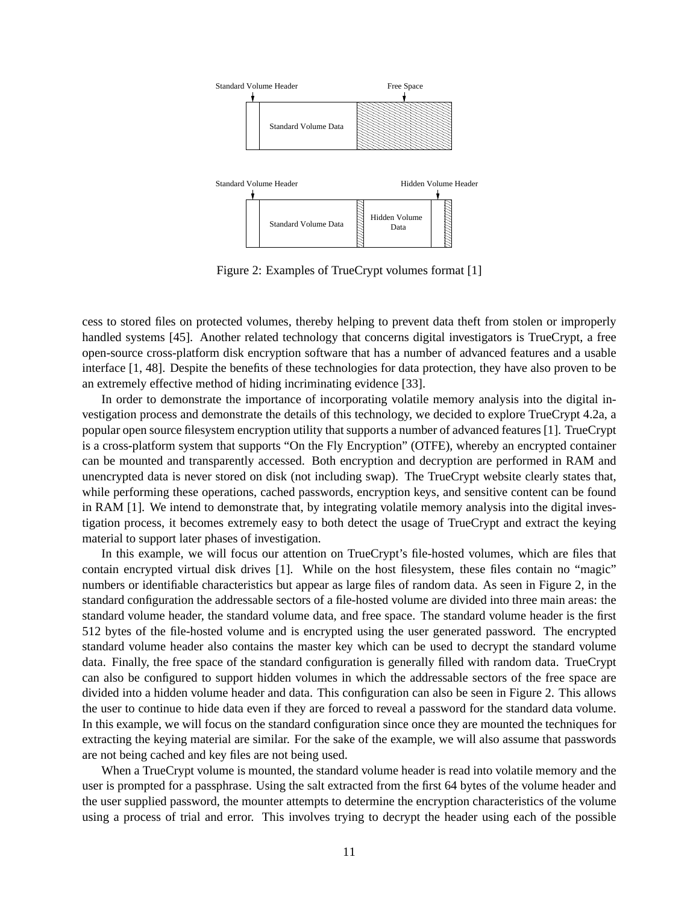

Figure 2: Examples of TrueCrypt volumes format [1]

cess to stored files on protected volumes, thereby helping to prevent data theft from stolen or improperly handled systems [45]. Another related technology that concerns digital investigators is TrueCrypt, a free open-source cross-platform disk encryption software that has a number of advanced features and a usable interface [1, 48]. Despite the benefits of these technologies for data protection, they have also proven to be an extremely effective method of hiding incriminating evidence [33].

In order to demonstrate the importance of incorporating volatile memory analysis into the digital investigation process and demonstrate the details of this technology, we decided to explore TrueCrypt 4.2a, a popular open source filesystem encryption utility that supports a number of advanced features [1]. TrueCrypt is a cross-platform system that supports "On the Fly Encryption" (OTFE), whereby an encrypted container can be mounted and transparently accessed. Both encryption and decryption are performed in RAM and unencrypted data is never stored on disk (not including swap). The TrueCrypt website clearly states that, while performing these operations, cached passwords, encryption keys, and sensitive content can be found in RAM [1]. We intend to demonstrate that, by integrating volatile memory analysis into the digital investigation process, it becomes extremely easy to both detect the usage of TrueCrypt and extract the keying material to support later phases of investigation.

In this example, we will focus our attention on TrueCrypt's file-hosted volumes, which are files that contain encrypted virtual disk drives [1]. While on the host filesystem, these files contain no "magic" numbers or identifiable characteristics but appear as large files of random data. As seen in Figure 2, in the standard configuration the addressable sectors of a file-hosted volume are divided into three main areas: the standard volume header, the standard volume data, and free space. The standard volume header is the first 512 bytes of the file-hosted volume and is encrypted using the user generated password. The encrypted standard volume header also contains the master key which can be used to decrypt the standard volume data. Finally, the free space of the standard configuration is generally filled with random data. TrueCrypt can also be configured to support hidden volumes in which the addressable sectors of the free space are divided into a hidden volume header and data. This configuration can also be seen in Figure 2. This allows the user to continue to hide data even if they are forced to reveal a password for the standard data volume. In this example, we will focus on the standard configuration since once they are mounted the techniques for extracting the keying material are similar. For the sake of the example, we will also assume that passwords are not being cached and key files are not being used.

When a TrueCrypt volume is mounted, the standard volume header is read into volatile memory and the user is prompted for a passphrase. Using the salt extracted from the first 64 bytes of the volume header and the user supplied password, the mounter attempts to determine the encryption characteristics of the volume using a process of trial and error. This involves trying to decrypt the header using each of the possible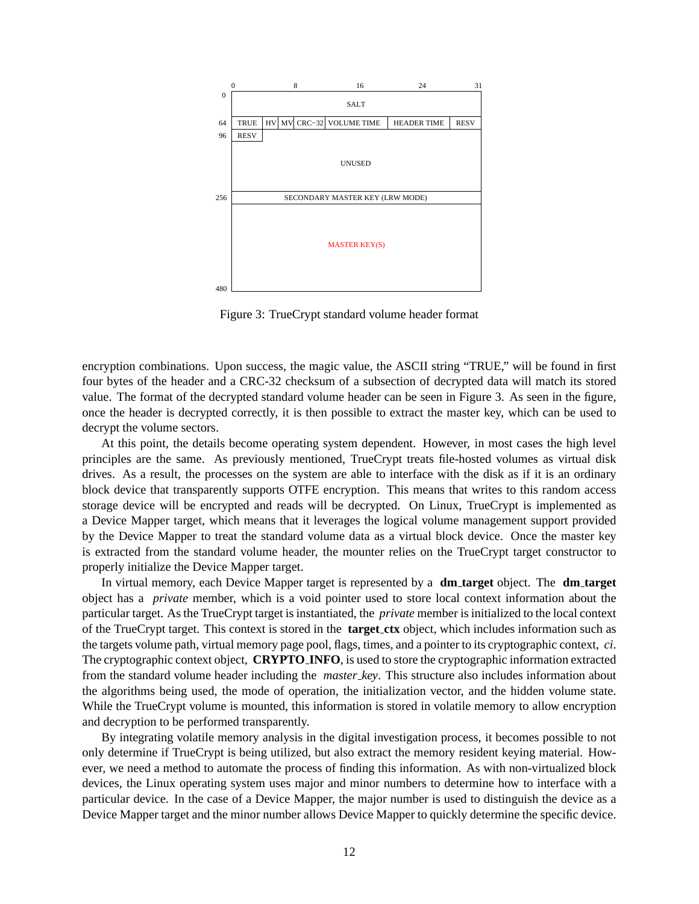

Figure 3: TrueCrypt standard volume header format

encryption combinations. Upon success, the magic value, the ASCII string "TRUE," will be found in first four bytes of the header and a CRC-32 checksum of a subsection of decrypted data will match its stored value. The format of the decrypted standard volume header can be seen in Figure 3. As seen in the figure, once the header is decrypted correctly, it is then possible to extract the master key, which can be used to decrypt the volume sectors.

At this point, the details become operating system dependent. However, in most cases the high level principles are the same. As previously mentioned, TrueCrypt treats file-hosted volumes as virtual disk drives. As a result, the processes on the system are able to interface with the disk as if it is an ordinary block device that transparently supports OTFE encryption. This means that writes to this random access storage device will be encrypted and reads will be decrypted. On Linux, TrueCrypt is implemented as a Device Mapper target, which means that it leverages the logical volume management support provided by the Device Mapper to treat the standard volume data as a virtual block device. Once the master key is extracted from the standard volume header, the mounter relies on the TrueCrypt target constructor to properly initialize the Device Mapper target.

In virtual memory, each Device Mapper target is represented by a **dm target** object. The **dm target** object has a *private* member, which is a void pointer used to store local context information about the particular target. As the TrueCrypt target is instantiated, the *private* member is initialized to the local context of the TrueCrypt target. This context is stored in the **target ctx** object, which includes information such as the targets volume path, virtual memory page pool, flags, times, and a pointer to its cryptographic context, *ci*. The cryptographic context object, **CRYPTO INFO**, is used to store the cryptographic information extracted from the standard volume header including the *master key*. This structure also includes information about the algorithms being used, the mode of operation, the initialization vector, and the hidden volume state. While the TrueCrypt volume is mounted, this information is stored in volatile memory to allow encryption and decryption to be performed transparently.

By integrating volatile memory analysis in the digital investigation process, it becomes possible to not only determine if TrueCrypt is being utilized, but also extract the memory resident keying material. However, we need a method to automate the process of finding this information. As with non-virtualized block devices, the Linux operating system uses major and minor numbers to determine how to interface with a particular device. In the case of a Device Mapper, the major number is used to distinguish the device as a Device Mapper target and the minor number allows Device Mapper to quickly determine the specific device.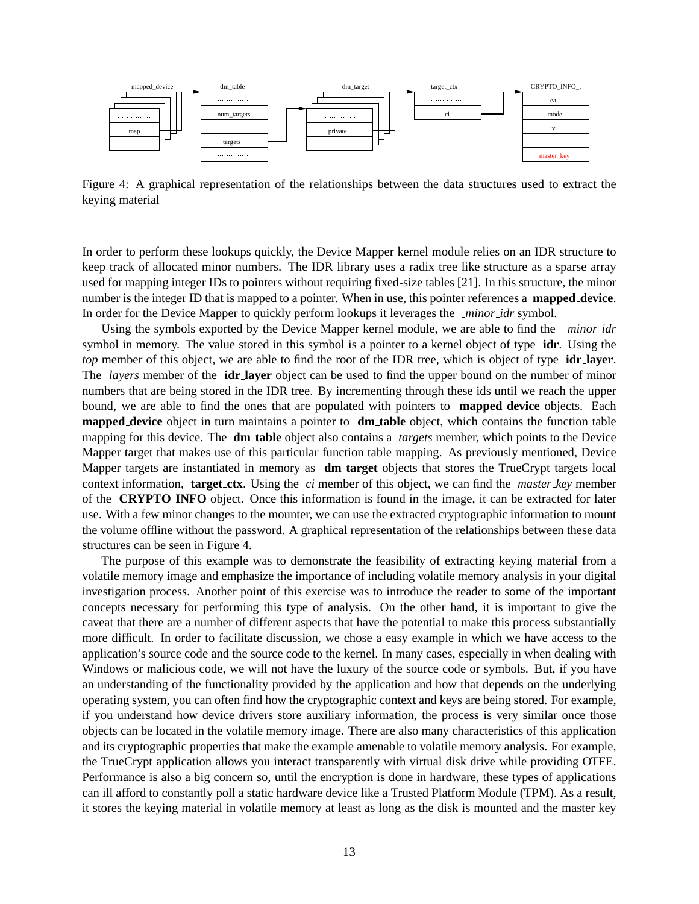

Figure 4: A graphical representation of the relationships between the data structures used to extract the keying material

In order to perform these lookups quickly, the Device Mapper kernel module relies on an IDR structure to keep track of allocated minor numbers. The IDR library uses a radix tree like structure as a sparse array used for mapping integer IDs to pointers without requiring fixed-size tables [21]. In this structure, the minor number is the integer ID that is mapped to a pointer. When in use, this pointer references a **mapped device**. In order for the Device Mapper to quickly perform lookups it leverages the *minor idr* symbol.

Using the symbols exported by the Device Mapper kernel module, we are able to find the *minor idr* symbol in memory. The value stored in this symbol is a pointer to a kernel object of type **idr**. Using the *top* member of this object, we are able to find the root of the IDR tree, which is object of type **idr layer**. The *layers* member of the **idr layer** object can be used to find the upper bound on the number of minor numbers that are being stored in the IDR tree. By incrementing through these ids until we reach the upper bound, we are able to find the ones that are populated with pointers to **mapped device** objects. Each **mapped device** object in turn maintains a pointer to **dm table** object, which contains the function table mapping for this device. The **dm table** object also contains a *targets* member, which points to the Device Mapper target that makes use of this particular function table mapping. As previously mentioned, Device Mapper targets are instantiated in memory as **dm target** objects that stores the TrueCrypt targets local context information, **target ctx**. Using the *ci* member of this object, we can find the *master key* member of the **CRYPTO INFO** object. Once this information is found in the image, it can be extracted for later use. With a few minor changes to the mounter, we can use the extracted cryptographic information to mount the volume offline without the password. A graphical representation of the relationships between these data structures can be seen in Figure 4.

The purpose of this example was to demonstrate the feasibility of extracting keying material from a volatile memory image and emphasize the importance of including volatile memory analysis in your digital investigation process. Another point of this exercise was to introduce the reader to some of the important concepts necessary for performing this type of analysis. On the other hand, it is important to give the caveat that there are a number of different aspects that have the potential to make this process substantially more difficult. In order to facilitate discussion, we chose a easy example in which we have access to the application's source code and the source code to the kernel. In many cases, especially in when dealing with Windows or malicious code, we will not have the luxury of the source code or symbols. But, if you have an understanding of the functionality provided by the application and how that depends on the underlying operating system, you can often find how the cryptographic context and keys are being stored. For example, if you understand how device drivers store auxiliary information, the process is very similar once those objects can be located in the volatile memory image. There are also many characteristics of this application and its cryptographic properties that make the example amenable to volatile memory analysis. For example, the TrueCrypt application allows you interact transparently with virtual disk drive while providing OTFE. Performance is also a big concern so, until the encryption is done in hardware, these types of applications can ill afford to constantly poll a static hardware device like a Trusted Platform Module (TPM). As a result, it stores the keying material in volatile memory at least as long as the disk is mounted and the master key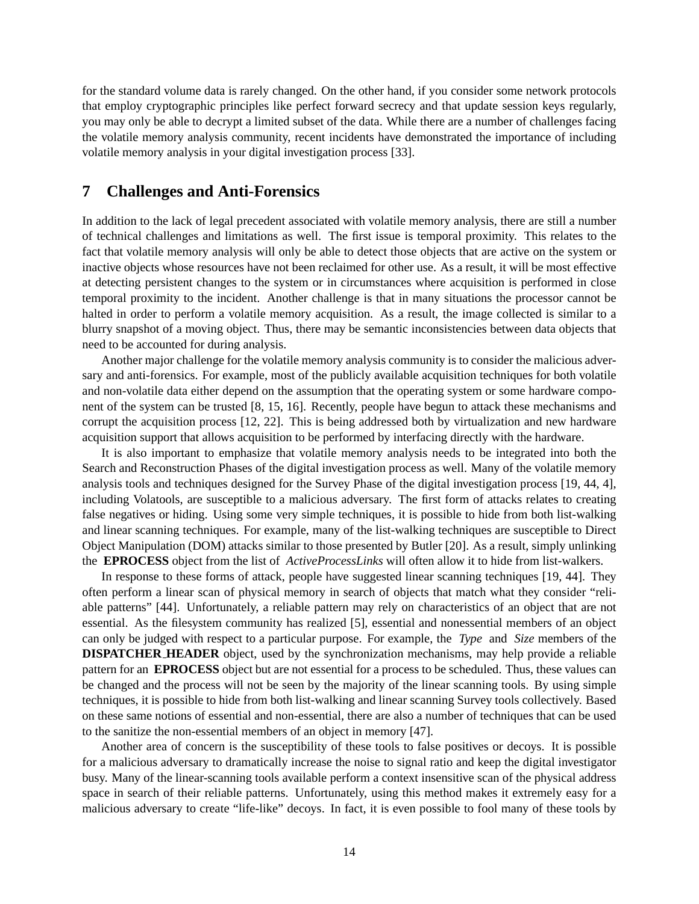for the standard volume data is rarely changed. On the other hand, if you consider some network protocols that employ cryptographic principles like perfect forward secrecy and that update session keys regularly, you may only be able to decrypt a limited subset of the data. While there are a number of challenges facing the volatile memory analysis community, recent incidents have demonstrated the importance of including volatile memory analysis in your digital investigation process [33].

#### **7 Challenges and Anti-Forensics**

In addition to the lack of legal precedent associated with volatile memory analysis, there are still a number of technical challenges and limitations as well. The first issue is temporal proximity. This relates to the fact that volatile memory analysis will only be able to detect those objects that are active on the system or inactive objects whose resources have not been reclaimed for other use. As a result, it will be most effective at detecting persistent changes to the system or in circumstances where acquisition is performed in close temporal proximity to the incident. Another challenge is that in many situations the processor cannot be halted in order to perform a volatile memory acquisition. As a result, the image collected is similar to a blurry snapshot of a moving object. Thus, there may be semantic inconsistencies between data objects that need to be accounted for during analysis.

Another major challenge for the volatile memory analysis community is to consider the malicious adversary and anti-forensics. For example, most of the publicly available acquisition techniques for both volatile and non-volatile data either depend on the assumption that the operating system or some hardware component of the system can be trusted [8, 15, 16]. Recently, people have begun to attack these mechanisms and corrupt the acquisition process [12, 22]. This is being addressed both by virtualization and new hardware acquisition support that allows acquisition to be performed by interfacing directly with the hardware.

It is also important to emphasize that volatile memory analysis needs to be integrated into both the Search and Reconstruction Phases of the digital investigation process as well. Many of the volatile memory analysis tools and techniques designed for the Survey Phase of the digital investigation process [19, 44, 4], including Volatools, are susceptible to a malicious adversary. The first form of attacks relates to creating false negatives or hiding. Using some very simple techniques, it is possible to hide from both list-walking and linear scanning techniques. For example, many of the list-walking techniques are susceptible to Direct Object Manipulation (DOM) attacks similar to those presented by Butler [20]. As a result, simply unlinking the **EPROCESS** object from the list of *ActiveProcessLinks* will often allow it to hide from list-walkers.

In response to these forms of attack, people have suggested linear scanning techniques [19, 44]. They often perform a linear scan of physical memory in search of objects that match what they consider "reliable patterns" [44]. Unfortunately, a reliable pattern may rely on characteristics of an object that are not essential. As the filesystem community has realized [5], essential and nonessential members of an object can only be judged with respect to a particular purpose. For example, the *Type* and *Size* members of the **DISPATCHER HEADER** object, used by the synchronization mechanisms, may help provide a reliable pattern for an **EPROCESS** object but are not essential for a process to be scheduled. Thus, these values can be changed and the process will not be seen by the majority of the linear scanning tools. By using simple techniques, it is possible to hide from both list-walking and linear scanning Survey tools collectively. Based on these same notions of essential and non-essential, there are also a number of techniques that can be used to the sanitize the non-essential members of an object in memory [47].

Another area of concern is the susceptibility of these tools to false positives or decoys. It is possible for a malicious adversary to dramatically increase the noise to signal ratio and keep the digital investigator busy. Many of the linear-scanning tools available perform a context insensitive scan of the physical address space in search of their reliable patterns. Unfortunately, using this method makes it extremely easy for a malicious adversary to create "life-like" decoys. In fact, it is even possible to fool many of these tools by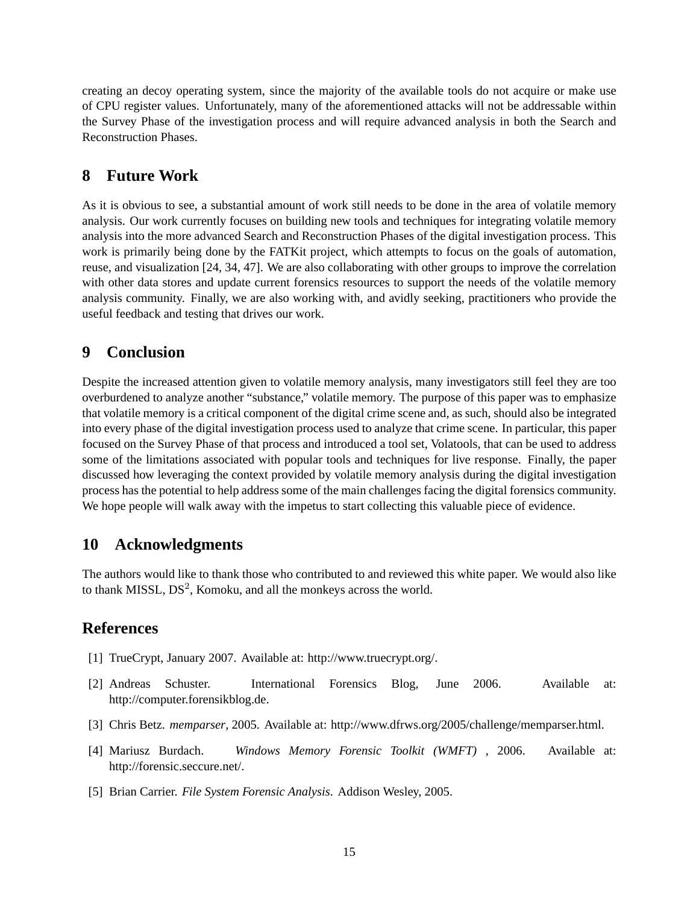creating an decoy operating system, since the majority of the available tools do not acquire or make use of CPU register values. Unfortunately, many of the aforementioned attacks will not be addressable within the Survey Phase of the investigation process and will require advanced analysis in both the Search and Reconstruction Phases.

### **8 Future Work**

As it is obvious to see, a substantial amount of work still needs to be done in the area of volatile memory analysis. Our work currently focuses on building new tools and techniques for integrating volatile memory analysis into the more advanced Search and Reconstruction Phases of the digital investigation process. This work is primarily being done by the FATKit project, which attempts to focus on the goals of automation, reuse, and visualization [24, 34, 47]. We are also collaborating with other groups to improve the correlation with other data stores and update current forensics resources to support the needs of the volatile memory analysis community. Finally, we are also working with, and avidly seeking, practitioners who provide the useful feedback and testing that drives our work.

### **9 Conclusion**

Despite the increased attention given to volatile memory analysis, many investigators still feel they are too overburdened to analyze another "substance," volatile memory. The purpose of this paper was to emphasize that volatile memory is a critical component of the digital crime scene and, as such, should also be integrated into every phase of the digital investigation process used to analyze that crime scene. In particular, this paper focused on the Survey Phase of that process and introduced a tool set, Volatools, that can be used to address some of the limitations associated with popular tools and techniques for live response. Finally, the paper discussed how leveraging the context provided by volatile memory analysis during the digital investigation process has the potential to help address some of the main challenges facing the digital forensics community. We hope people will walk away with the impetus to start collecting this valuable piece of evidence.

## **10 Acknowledgments**

The authors would like to thank those who contributed to and reviewed this white paper. We would also like to thank MISSL,  $DS^2$ , Komoku, and all the monkeys across the world.

### **References**

- [1] TrueCrypt, January 2007. Available at: http://www.truecrypt.org/.
- [2] Andreas Schuster. International Forensics Blog, June 2006. Available at: http://computer.forensikblog.de.
- [3] Chris Betz. *memparser*, 2005. Available at: http://www.dfrws.org/2005/challenge/memparser.html.
- [4] Mariusz Burdach. *Windows Memory Forensic Toolkit (WMFT)* , 2006. Available at: http://forensic.seccure.net/.
- [5] Brian Carrier. *File System Forensic Analysis*. Addison Wesley, 2005.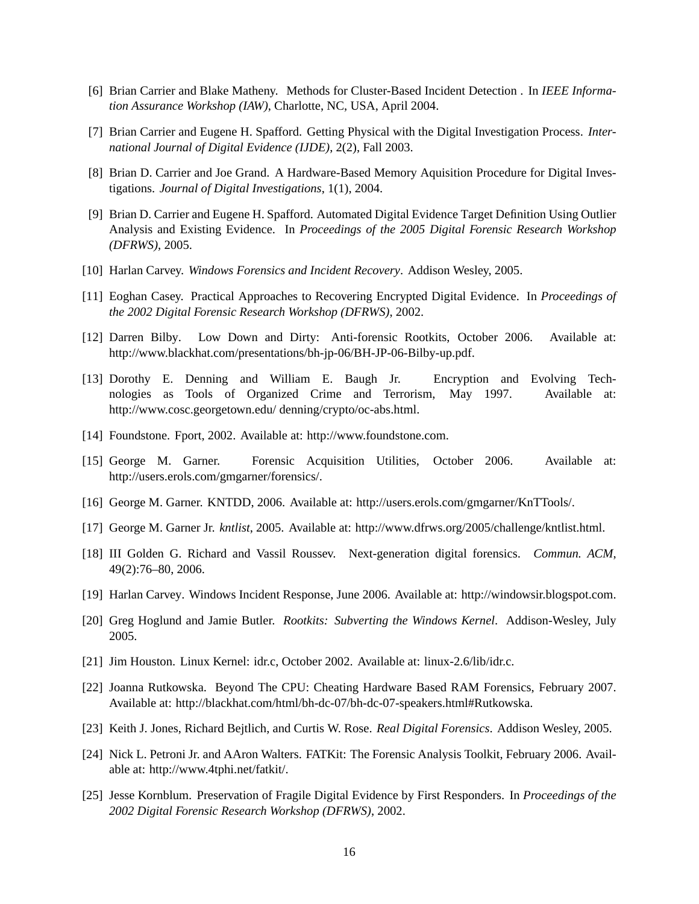- [6] Brian Carrier and Blake Matheny. Methods for Cluster-Based Incident Detection . In *IEEE Information Assurance Workshop (IAW)*, Charlotte, NC, USA, April 2004.
- [7] Brian Carrier and Eugene H. Spafford. Getting Physical with the Digital Investigation Process. *International Journal of Digital Evidence (IJDE)*, 2(2), Fall 2003.
- [8] Brian D. Carrier and Joe Grand. A Hardware-Based Memory Aquisition Procedure for Digital Investigations. *Journal of Digital Investigations*, 1(1), 2004.
- [9] Brian D. Carrier and Eugene H. Spafford. Automated Digital Evidence Target Definition Using Outlier Analysis and Existing Evidence. In *Proceedings of the 2005 Digital Forensic Research Workshop (DFRWS)*, 2005.
- [10] Harlan Carvey. *Windows Forensics and Incident Recovery*. Addison Wesley, 2005.
- [11] Eoghan Casey. Practical Approaches to Recovering Encrypted Digital Evidence. In *Proceedings of the 2002 Digital Forensic Research Workshop (DFRWS)*, 2002.
- [12] Darren Bilby. Low Down and Dirty: Anti-forensic Rootkits, October 2006. Available at: http://www.blackhat.com/presentations/bh-jp-06/BH-JP-06-Bilby-up.pdf.
- [13] Dorothy E. Denning and William E. Baugh Jr. Encryption and Evolving Technologies as Tools of Organized Crime and Terrorism, May 1997. Available at: http://www.cosc.georgetown.edu/ denning/crypto/oc-abs.html.
- [14] Foundstone. Fport, 2002. Available at: http://www.foundstone.com.
- [15] George M. Garner. Forensic Acquisition Utilities, October 2006. Available at: http://users.erols.com/gmgarner/forensics/.
- [16] George M. Garner. KNTDD, 2006. Available at: http://users.erols.com/gmgarner/KnTTools/.
- [17] George M. Garner Jr. *kntlist*, 2005. Available at: http://www.dfrws.org/2005/challenge/kntlist.html.
- [18] III Golden G. Richard and Vassil Roussev. Next-generation digital forensics. *Commun. ACM*, 49(2):76–80, 2006.
- [19] Harlan Carvey. Windows Incident Response, June 2006. Available at: http://windowsir.blogspot.com.
- [20] Greg Hoglund and Jamie Butler. *Rootkits: Subverting the Windows Kernel*. Addison-Wesley, July 2005.
- [21] Jim Houston. Linux Kernel: idr.c, October 2002. Available at: linux-2.6/lib/idr.c.
- [22] Joanna Rutkowska. Beyond The CPU: Cheating Hardware Based RAM Forensics, February 2007. Available at: http://blackhat.com/html/bh-dc-07/bh-dc-07-speakers.html#Rutkowska.
- [23] Keith J. Jones, Richard Bejtlich, and Curtis W. Rose. *Real Digital Forensics*. Addison Wesley, 2005.
- [24] Nick L. Petroni Jr. and AAron Walters. FATKit: The Forensic Analysis Toolkit, February 2006. Available at: http://www.4tphi.net/fatkit/.
- [25] Jesse Kornblum. Preservation of Fragile Digital Evidence by First Responders. In *Proceedings of the 2002 Digital Forensic Research Workshop (DFRWS)*, 2002.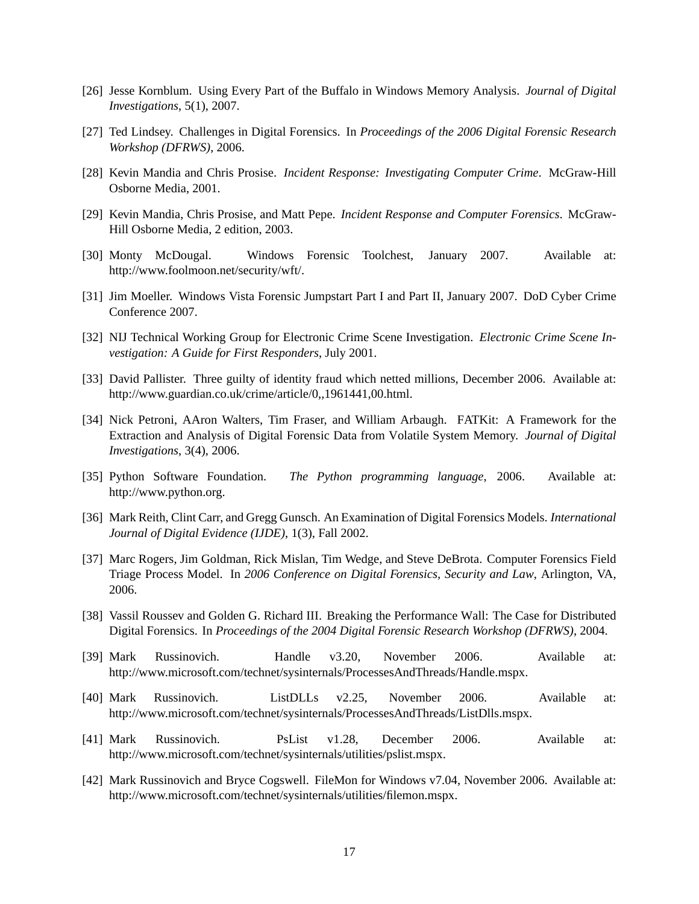- [26] Jesse Kornblum. Using Every Part of the Buffalo in Windows Memory Analysis. *Journal of Digital Investigations*, 5(1), 2007.
- [27] Ted Lindsey. Challenges in Digital Forensics. In *Proceedings of the 2006 Digital Forensic Research Workshop (DFRWS)*, 2006.
- [28] Kevin Mandia and Chris Prosise. *Incident Response: Investigating Computer Crime*. McGraw-Hill Osborne Media, 2001.
- [29] Kevin Mandia, Chris Prosise, and Matt Pepe. *Incident Response and Computer Forensics*. McGraw-Hill Osborne Media, 2 edition, 2003.
- [30] Monty McDougal. Windows Forensic Toolchest, January 2007. Available at: http://www.foolmoon.net/security/wft/.
- [31] Jim Moeller. Windows Vista Forensic Jumpstart Part I and Part II, January 2007. DoD Cyber Crime Conference 2007.
- [32] NIJ Technical Working Group for Electronic Crime Scene Investigation. *Electronic Crime Scene Investigation: A Guide for First Responders*, July 2001.
- [33] David Pallister. Three guilty of identity fraud which netted millions, December 2006. Available at: http://www.guardian.co.uk/crime/article/0,,1961441,00.html.
- [34] Nick Petroni, AAron Walters, Tim Fraser, and William Arbaugh. FATKit: A Framework for the Extraction and Analysis of Digital Forensic Data from Volatile System Memory. *Journal of Digital Investigations*, 3(4), 2006.
- [35] Python Software Foundation. *The Python programming language*, 2006. Available at: http://www.python.org.
- [36] Mark Reith, Clint Carr, and Gregg Gunsch. An Examination of Digital Forensics Models. *International Journal of Digital Evidence (IJDE)*, 1(3), Fall 2002.
- [37] Marc Rogers, Jim Goldman, Rick Mislan, Tim Wedge, and Steve DeBrota. Computer Forensics Field Triage Process Model. In *2006 Conference on Digital Forensics, Security and Law*, Arlington, VA, 2006.
- [38] Vassil Roussev and Golden G. Richard III. Breaking the Performance Wall: The Case for Distributed Digital Forensics. In *Proceedings of the 2004 Digital Forensic Research Workshop (DFRWS)*, 2004.
- [39] Mark Russinovich. Handle v3.20, November 2006. Available at: http://www.microsoft.com/technet/sysinternals/ProcessesAndThreads/Handle.mspx.
- [40] Mark Russinovich. ListDLLs v2.25, November 2006. Available at: http://www.microsoft.com/technet/sysinternals/ProcessesAndThreads/ListDlls.mspx.
- [41] Mark Russinovich. PsList v1.28, December 2006. Available at: http://www.microsoft.com/technet/sysinternals/utilities/pslist.mspx.
- [42] Mark Russinovich and Bryce Cogswell. FileMon for Windows v7.04, November 2006. Available at: http://www.microsoft.com/technet/sysinternals/utilities/filemon.mspx.